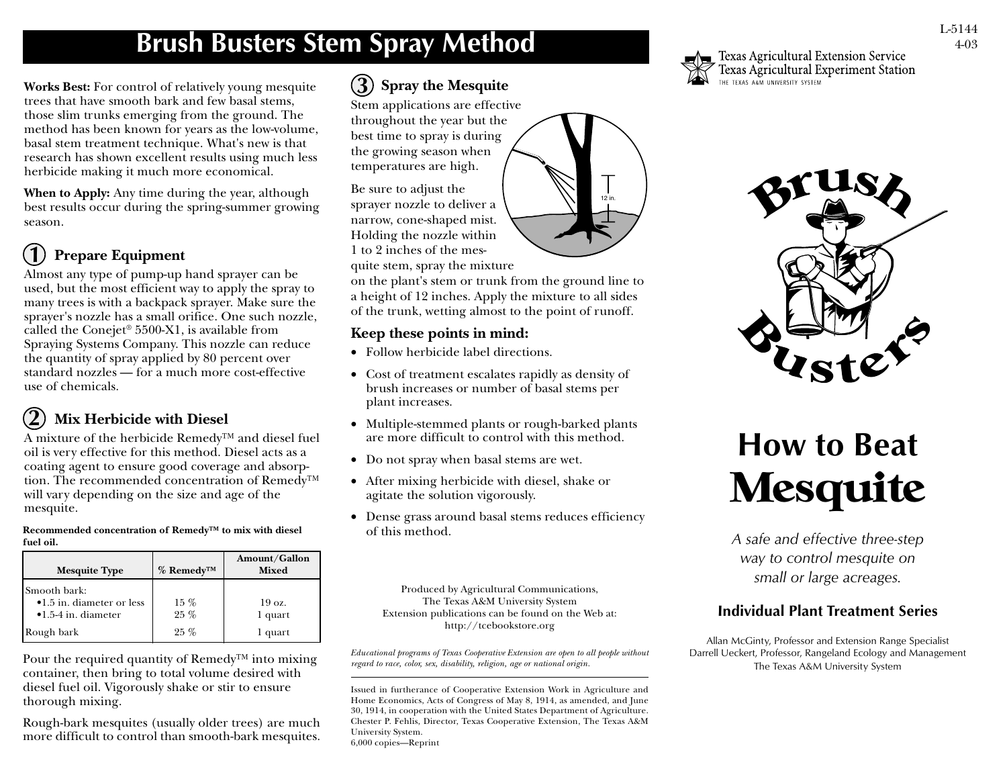# **Brush Busters Stem Spray Method**

**Works Best:** For control of relatively young mesquite trees that have smooth bark and few basal stems, those slim trunks emerging from the ground. The method has been known for years as the low-volume, basal stem treatment technique. What's new is that research has shown excellent results using much less herbicide making it much more economical.

**When to Apply:** Any time during the year, although best results occur during the spring-summer growing season.

#### **Prepare Equipment 1**

Almost any type of pump-up hand sprayer can be used, but the most efficient way to apply the spray to many trees is with a backpack sprayer. Make sure the sprayer's nozzle has a small orifice. One such nozzle, called the Conejet® 5500-X1, is available from Spraying Systems Company. This nozzle can reduce the quantity of spray applied by 80 percent over standard nozzles — for a much more cost-effective use of chemicals.

#### **Mix Herbicide with Diesel 2**

A mixture of the herbicide Remedy™ and diesel fuel oil is very effective for this method. Diesel acts as a coating agent to ensure good coverage and absorption. The recommended concentration of Remedy™ will vary depending on the size and age of the mesquite.

**Recommended concentration of Remedy™ to mix with diesel fuel oil.**

| <b>Mesquite Type</b>                                                      | $%$ Remedy <sup>TM</sup> | Amount/Gallon<br><b>Mixed</b> |
|---------------------------------------------------------------------------|--------------------------|-------------------------------|
| Smooth bark:<br>•1.5 in. diameter or less<br>$\bullet$ 1.5-4 in. diameter | $15\%$<br>$25\%$         | $19 \text{ oz}$ .<br>1 quart  |
| Rough bark                                                                | $25\%$                   | 1 quart                       |

Pour the required quantity of Remedy<sup>™</sup> into mixing container, then bring to total volume desired with diesel fuel oil. Vigorously shake or stir to ensure thorough mixing.

Rough-bark mesquites (usually older trees) are much more difficult to control than smooth-bark mesquites.

## **Spray the Mesquite 3**

Stem applications are effective throughout the year but the best time to spray is during the growing season when temperatures are high.

Be sure to adjust the sprayer nozzle to deliver a narrow, cone-shaped mist. Holding the nozzle within 1 to 2 inches of the mesquite stem, spray the mixture

on the plant's stem or trunk from the ground line to a height of 12 inches. Apply the mixture to all sides of the trunk, wetting almost to the point of runoff.

## **Keep these points in mind:**

- Follow herbicide label directions.
- Cost of treatment escalates rapidly as density of brush increases or number of basal stems per plant increases.
- Multiple-stemmed plants or rough-barked plants are more difficult to control with this method.
- Do not spray when basal stems are wet.
- After mixing herbicide with diesel, shake or agitate the solution vigorously.
- Dense grass around basal stems reduces efficiency of this method.

Produced by Agricultural Communications, The Texas A&M University System Extension publications can be found on the Web at: http://tcebookstore.org

*Educational programs of Texas Cooperative Extension are open to all people without regard to race, color, sex, disability, religion, age or national origin.*

Issued in furtherance of Cooperative Extension Work in Agriculture and Home Economics, Acts of Congress of May 8, 1914, as amended, and June 30, 1914, in cooperation with the United States Department of Agriculture. Chester P. Fehlis, Director, Texas Cooperative Extension, The Texas A&M University System. 6,000 copies—Reprint



Texas Agricultural Extension Service Texas Agricultural Experiment Station TEXAS A&M UNIVERSITY SYSTEM



# **How to Beat Mesquite**

*A safe and effective three-step way to control mesquite on small or large acreages.*

## **Individual Plant Treatment Series**

Allan McGinty, Professor and Extension Range Specialist Darrell Ueckert, Professor, Rangeland Ecology and Management The Texas A&M University System



12 in.